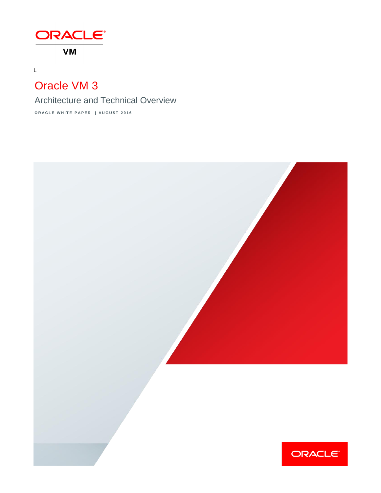

# Oracle VM 3

L

Architecture and Technical Overview

**O R A C L E W H I T E P A P E R | A U G U S T 2016**

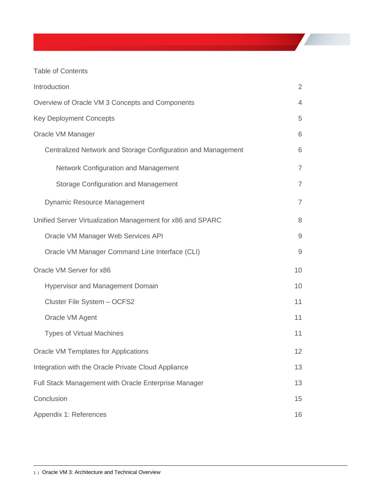## Table of Contents

| Introduction                                                 |                |  |
|--------------------------------------------------------------|----------------|--|
| Overview of Oracle VM 3 Concepts and Components              |                |  |
| <b>Key Deployment Concepts</b>                               |                |  |
| Oracle VM Manager                                            |                |  |
| Centralized Network and Storage Configuration and Management | 6              |  |
| Network Configuration and Management                         | $\overline{7}$ |  |
| <b>Storage Configuration and Management</b>                  | $\overline{7}$ |  |
| <b>Dynamic Resource Management</b>                           | $\overline{7}$ |  |
| Unified Server Virtualization Management for x86 and SPARC   | 8              |  |
| Oracle VM Manager Web Services API                           | $\mathsf 9$    |  |
| Oracle VM Manager Command Line Interface (CLI)               | 9              |  |
| Oracle VM Server for x86                                     | 10             |  |
| <b>Hypervisor and Management Domain</b>                      | 10             |  |
| Cluster File System - OCFS2                                  | 11             |  |
| Oracle VM Agent                                              | 11             |  |
| <b>Types of Virtual Machines</b>                             | 11             |  |
| <b>Oracle VM Templates for Applications</b>                  | 12             |  |
| Integration with the Oracle Private Cloud Appliance          |                |  |
| Full Stack Management with Oracle Enterprise Manager         |                |  |
| Conclusion                                                   |                |  |
| Appendix 1: References                                       |                |  |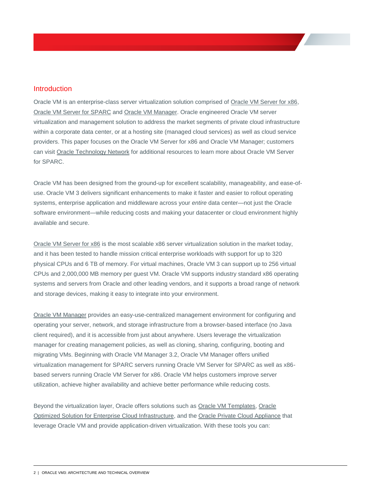## <span id="page-2-0"></span>Introduction

Oracle VM is an enterprise-class server virtualization solution comprised of [Oracle VM Server for x86,](http://www.oracle.com/us/technologies/virtualization/oraclevm/overview/index.html) [Oracle VM Server for SPARC](http://www.oracle.com/us/technologies/virtualization/oracle-vm-server-for-sparc/index.html) an[d Oracle VM Manager.](http://www.oracle.com/technetwork/server-storage/vm/overview/ovm-211034.html) Oracle engineered Oracle VM server virtualization and management solution to address the market segments of private cloud infrastructure within a corporate data center, or at a hosting site (managed cloud services) as well as cloud service providers. This paper focuses on the Oracle VM Server for x86 and Oracle VM Manager; customers can visit [Oracle Technology Network](http://www.oracle.com/technetwork/server-storage/vm/overview/index.html) for additional resources to learn more about Oracle VM Server for SPARC.

Oracle VM has been designed from the ground-up for excellent scalability, manageability, and ease-ofuse. Oracle VM 3 delivers significant enhancements to make it faster and easier to rollout operating systems, enterprise application and middleware across your *entire* data center—not just the Oracle software environment—while reducing costs and making your datacenter or cloud environment highly available and secure.

[Oracle VM Server for x86](http://oracle.com/oraclevm) is the most scalable x86 server virtualization solution in the market today, and it has been tested to handle mission critical enterprise workloads with support for up to 320 physical CPUs and 6 TB of memory. For virtual machines, Oracle VM 3 can support up to 256 virtual CPUs and 2,000,000 MB memory per guest VM. Oracle VM supports industry standard x86 operating systems and servers from Oracle and other leading vendors, and it supports a broad range of network and storage devices, making it easy to integrate into your environment.

[Oracle VM Manager](http://www.oracle.com/technetwork/server-storage/vm/overview/ovm-211034.html) provides an easy-use-centralized management environment for configuring and operating your server, network, and storage infrastructure from a browser-based interface (no Java client required), and it is accessible from just about anywhere. Users leverage the virtualization manager for creating management policies, as well as cloning, sharing, configuring, booting and migrating VMs. Beginning with Oracle VM Manager 3.2, Oracle VM Manager offers unified virtualization management for SPARC servers running Oracle VM Server for SPARC as well as x86 based servers running Oracle VM Server for x86. Oracle VM helps customers improve server utilization, achieve higher availability and achieve better performance while reducing costs.

Beyond the virtualization layer, Oracle offers solutions such as [Oracle VM Templates,](http://www.oracle.com/technetwork/server-storage/vm/overview/templates-101937.html) [Oracle](https://www.oracle.com/solutions/optimized-solutions/enterprise-cloud-infrastructure.html)  [Optimized Solution for Enterprise Cloud Infrastructure,](https://www.oracle.com/solutions/optimized-solutions/enterprise-cloud-infrastructure.html) and the [Oracle Private Cloud Appliance](http://www.oracle.com/technetwork/server-storage/private-cloud-appliance/overview/index.html) that leverage Oracle VM and provide application-driven virtualization. With these tools you can: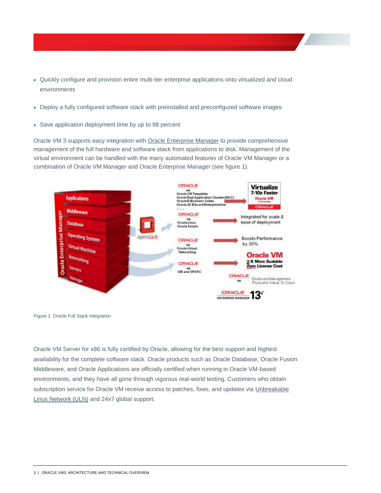- Quickly configure and provision entire multi-tier enterprise applications onto virtualized and cloud environments
- Deploy a fully configured software stack with preinstalled and preconfigured software images
- Save application deployment time by up to 98 percent

Oracle VM 3 supports easy integration with [Oracle Enterprise Manager](http://www.oracle.com/us/products/enterprise-manager/index.html) to provide comprehensive management of the full hardware and software stack from applications to disk. Management of the virtual environment can be handled with the many automated features of Oracle VM Manager or a combination of Oracle VM Manager and Oracle Enterprise Manager (see figure 1).



Figure 1. Oracle Full Stack Integration

Oracle VM Server for x86 is fully certified by Oracle, allowing for the best support and highest availability for the complete software stack. Oracle products such as Oracle Database, Oracle Fusion Middleware, and Oracle Applications are officially certified when running in Oracle VM-based environments, and they have all gone through vigorous real-world testing. Customers who obtain subscription service for Oracle VM receive access to patches, fixes, and updates via [Unbreakable](http://linux.oracle.com/)  [Linux Network \(ULN\)](http://linux.oracle.com/) and 24x7 global support.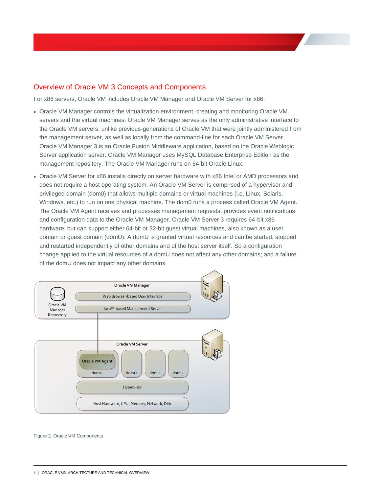## <span id="page-4-0"></span>Overview of Oracle VM 3 Concepts and Components

For x86 servers, Oracle VM includes Oracle VM Manager and Oracle VM Server for x86.

- Oracle VM Manager controls the virtualization environment, creating and monitoring Oracle VM servers and the virtual machines. Oracle VM Manager serves as the only administrative interface to the Oracle VM servers, unlike previous-generations of Oracle VM that were jointly administered from the management server, as well as locally from the command-line for each Oracle VM Server. Oracle VM Manager 3 is an Oracle Fusion Middleware application, based on the Oracle Weblogic Server application server. Oracle VM Manager uses MySQL Database Enterprise Edition as the management repository. The Oracle VM Manager runs on 64-bit Oracle Linux.
- Oracle VM Server for x86 installs directly on server hardware with x86 Intel or AMD processors and does not require a host operating system. An Oracle VM Server is comprised of a hypervisor and privileged domain (dom0) that allows multiple domains or virtual machines (i.e. Linux, Solaris, Windows, etc.) to run on one physical machine. The dom0 runs a process called Oracle VM Agent. The Oracle VM Agent receives and processes management requests, provides event notifications and configuration data to the Oracle VM Manager. Oracle VM Server 3 requires 64-bit x86 hardware, but can support either 64-bit or 32-bit guest virtual machines, also known as a user domain or guest domain (domU). A domU is granted virtual resources and can be started, stopped and restarted independently of other domains and of the host server itself. So a configuration change applied to the virtual resources of a domU does not affect any other domains; and a failure of the domU does not impact any other domains.



Figure 2. Oracle VM Components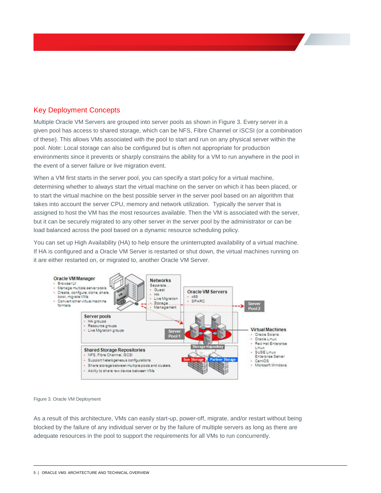# <span id="page-5-0"></span>Key Deployment Concepts

Multiple Oracle VM Servers are grouped into server pools as shown in Figure 3. Every server in a given pool has access to shared storage, which can be NFS, Fibre Channel or iSCSI (or a combination of these). This allows VMs associated with the pool to start and run on any physical server within the pool. *Note:* Local storage can also be configured but is often not appropriate for production environments since it prevents or sharply constrains the ability for a VM to run anywhere in the pool in the event of a server failure or live migration event.

When a VM first starts in the server pool, you can specify a start policy for a virtual machine, determining whether to always start the virtual machine on the server on which it has been placed, or to start the virtual machine on the best possible server in the server pool based on an algorithm that takes into account the server CPU, memory and network utilization. Typically the server that is assigned to host the VM has the most resources available. Then the VM is associated with the server, but it can be securely migrated to any other server in the server pool by the administrator or can be load balanced across the pool based on a dynamic resource scheduling policy.

You can set up High Availability (HA) to help ensure the uninterrupted availability of a virtual machine. If HA is configured and a Oracle VM Server is restarted or shut down, the virtual machines running on it are either restarted on, or migrated to, another Oracle VM Server.



#### Figure 3. Oracle VM Deployment

As a result of this architecture, VMs can easily start-up, power-off, migrate, and/or restart without being blocked by the failure of any individual server or by the failure of multiple servers as long as there are adequate resources in the pool to support the requirements for all VMs to run concurrently.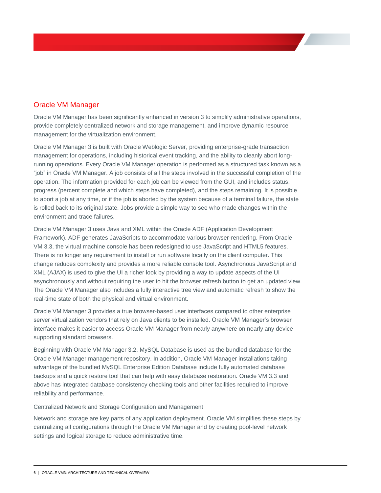## <span id="page-6-0"></span>Oracle VM Manager

Oracle VM Manager has been significantly enhanced in version 3 to simplify administrative operations, provide completely centralized network and storage management, and improve dynamic resource management for the virtualization environment.

Oracle VM Manager 3 is built with Oracle Weblogic Server, providing enterprise-grade transaction management for operations, including historical event tracking, and the ability to cleanly abort longrunning operations. Every Oracle VM Manager operation is performed as a structured task known as a "job" in Oracle VM Manager. A job consists of all the steps involved in the successful completion of the operation. The information provided for each job can be viewed from the GUI, and includes status, progress (percent complete and which steps have completed), and the steps remaining. It is possible to abort a job at any time, or if the job is aborted by the system because of a terminal failure, the state is rolled back to its original state. Jobs provide a simple way to see who made changes within the environment and trace failures.

Oracle VM Manager 3 uses Java and XML within the Oracle ADF (Application Development Framework). ADF generates JavaScripts to accommodate various browser-rendering. From Oracle VM 3.3, the virtual machine console has been redesigned to use JavaScript and HTML5 features. There is no longer any requirement to install or run software locally on the client computer. This change reduces complexity and provides a more reliable console tool. Asynchronous JavaScript and XML (AJAX) is used to give the UI a richer look by providing a way to update aspects of the UI asynchronously and without requiring the user to hit the browser refresh button to get an updated view. The Oracle VM Manager also includes a fully interactive tree view and automatic refresh to show the real-time state of both the physical and virtual environment.

Oracle VM Manager 3 provides a true browser-based user interfaces compared to other enterprise server virtualization vendors that rely on Java clients to be installed. Oracle VM Manager's browser interface makes it easier to access Oracle VM Manager from nearly anywhere on nearly any device supporting standard browsers.

Beginning with Oracle VM Manager 3.2, MySQL Database is used as the bundled database for the Oracle VM Manager management repository. In addition, Oracle VM Manager installations taking advantage of the bundled MySQL Enterprise Edition Database include fully automated database backups and a quick restore tool that can help with easy database restoration. Oracle VM 3.3 and above has integrated database consistency checking tools and other facilities required to improve reliability and performance.

<span id="page-6-1"></span>Centralized Network and Storage Configuration and Management

Network and storage are key parts of any application deployment. Oracle VM simplifies these steps by centralizing all configurations through the Oracle VM Manager and by creating pool-level network settings and logical storage to reduce administrative time.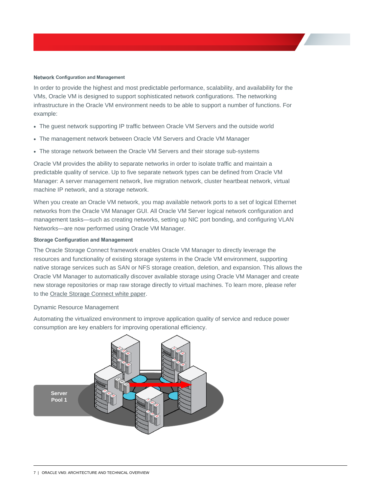#### <span id="page-7-0"></span>**Network Configuration and Management**

In order to provide the highest and most predictable performance, scalability, and availability for the VMs, Oracle VM is designed to support sophisticated network configurations. The networking infrastructure in the Oracle VM environment needs to be able to support a number of functions. For example:

- The guest network supporting IP traffic between Oracle VM Servers and the outside world
- The management network between Oracle VM Servers and Oracle VM Manager
- The storage network between the Oracle VM Servers and their storage sub-systems

Oracle VM provides the ability to separate networks in order to isolate traffic and maintain a predictable quality of service. Up to five separate network types can be defined from Oracle VM Manager: A server management network, live migration network, cluster heartbeat network, virtual machine IP network, and a storage network.

When you create an Oracle VM network, you map available network ports to a set of logical Ethernet networks from the Oracle VM Manager GUI. All Oracle VM Server logical network configuration and management tasks—such as creating networks, setting up NIC port bonding, and configuring VLAN Networks—are now performed using Oracle VM Manager.

#### <span id="page-7-1"></span>**Storage Configuration and Management**

The Oracle Storage Connect framework enables Oracle VM Manager to directly leverage the resources and functionality of existing storage systems in the Oracle VM environment, supporting native storage services such as SAN or NFS storage creation, deletion, and expansion. This allows the Oracle VM Manager to automatically discover available storage using Oracle VM Manager and create new storage repositories or map raw storage directly to virtual machines. To learn more, please refer to the [Oracle Storage Connect white paper.](http://www.oracle.com/us/technologies/virtualization/024973.htm)

#### <span id="page-7-2"></span>Dynamic Resource Management

Automating the virtualized environment to improve application quality of service and reduce power consumption are key enablers for improving operational efficiency.

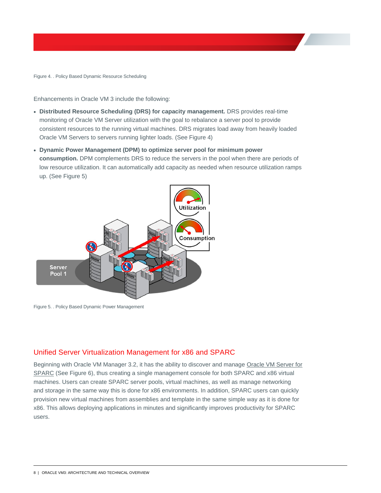Figure 4. . Policy Based Dynamic Resource Scheduling

Enhancements in Oracle VM 3 include the following:

- **Distributed Resource Scheduling (DRS) for capacity management.** DRS provides real-time monitoring of Oracle VM Server utilization with the goal to rebalance a server pool to provide consistent resources to the running virtual machines. DRS migrates load away from heavily loaded Oracle VM Servers to servers running lighter loads. (See Figure 4)
- **Dynamic Power Management (DPM) to optimize server pool for minimum power consumption.** DPM complements DRS to reduce the servers in the pool when there are periods of low resource utilization. It can automatically add capacity as needed when resource utilization ramps up. (See Figure 5)



Figure 5. . Policy Based Dynamic Power Management

## <span id="page-8-0"></span>Unified Server Virtualization Management for x86 and SPARC

Beginning with Oracle VM Manager 3.2, it has the ability to discover and manage [Oracle VM Server for](http://www.oracle.com/us/technologies/virtualization/oracle-vm-server-for-sparc/overview/index.html)  [SPARC](http://www.oracle.com/us/technologies/virtualization/oracle-vm-server-for-sparc/overview/index.html) (See Figure 6), thus creating a single management console for both SPARC and x86 virtual machines. Users can create SPARC server pools, virtual machines, as well as manage networking and storage in the same way this is done for x86 environments. In addition, SPARC users can quickly provision new virtual machines from assemblies and template in the same simple way as it is done for x86. This allows deploying applications in minutes and significantly improves productivity for SPARC users.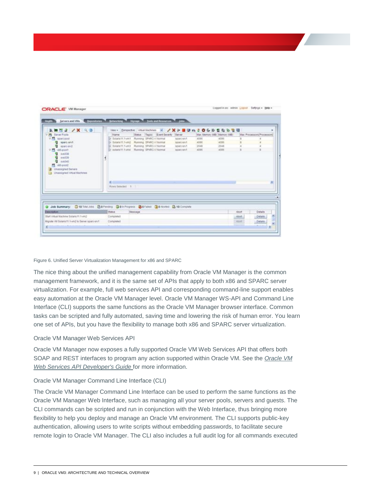| Status Tagix) Event Severity Server<br>V PL Server Pools<br>Max Processors Processors<br><b>Pátene</b><br>Mar. Memory (MB) Memory (MB)<br>V.C. sparcood<br>D- Solaris 11.1-yrs T. Running SPARC-V hiormal<br>4005<br>4096<br>searcon/t<br>5- Solaris 11.1-in2 Running SPARC-V faxmal<br><b>Q</b> spart-and<br>4056<br><b>BEARD GIVE</b><br>4395<br>5 Solars11.1-yrs3 Running SPARC-V.160mal<br><b>B</b> space <b>B</b><br>2048<br><b>BEAFD GIVT</b><br>2048<br>5-splans11.1-and Running SPARC-V Normal<br>4095<br>4006<br>V.M. vill-paid<br>3EMO-SW1<br><b>Q</b> 04000<br><b>母 00000</b><br><b>图 0x5040</b><br><b>四 minute</b><br><b>Unassigned Severs</b><br>Unassigned Virtual Machines<br>Rows Selected: 1  <br>Job Summary: 010 Tital Jobs @ 07ercorp @ 010 Progress @ 07alled @ 07eaded @ 10 Complete<br>۰<br>Status<br><b>Message</b><br><b>Cascription</b><br>Details<br>Abort<br><b>Start Vitalists entitelli leduti Isabili</b><br>Completed<br>Abort.<br><b>Details</b><br>Higrale VIII Solaris 11.1-vm2 to Server sparo-erv1.<br>Completed<br>Abort |  |
|----------------------------------------------------------------------------------------------------------------------------------------------------------------------------------------------------------------------------------------------------------------------------------------------------------------------------------------------------------------------------------------------------------------------------------------------------------------------------------------------------------------------------------------------------------------------------------------------------------------------------------------------------------------------------------------------------------------------------------------------------------------------------------------------------------------------------------------------------------------------------------------------------------------------------------------------------------------------------------------------------------------------------------------------------------------|--|
|                                                                                                                                                                                                                                                                                                                                                                                                                                                                                                                                                                                                                                                                                                                                                                                                                                                                                                                                                                                                                                                                |  |
|                                                                                                                                                                                                                                                                                                                                                                                                                                                                                                                                                                                                                                                                                                                                                                                                                                                                                                                                                                                                                                                                |  |
|                                                                                                                                                                                                                                                                                                                                                                                                                                                                                                                                                                                                                                                                                                                                                                                                                                                                                                                                                                                                                                                                |  |
|                                                                                                                                                                                                                                                                                                                                                                                                                                                                                                                                                                                                                                                                                                                                                                                                                                                                                                                                                                                                                                                                |  |
|                                                                                                                                                                                                                                                                                                                                                                                                                                                                                                                                                                                                                                                                                                                                                                                                                                                                                                                                                                                                                                                                |  |
|                                                                                                                                                                                                                                                                                                                                                                                                                                                                                                                                                                                                                                                                                                                                                                                                                                                                                                                                                                                                                                                                |  |
|                                                                                                                                                                                                                                                                                                                                                                                                                                                                                                                                                                                                                                                                                                                                                                                                                                                                                                                                                                                                                                                                |  |
|                                                                                                                                                                                                                                                                                                                                                                                                                                                                                                                                                                                                                                                                                                                                                                                                                                                                                                                                                                                                                                                                |  |
|                                                                                                                                                                                                                                                                                                                                                                                                                                                                                                                                                                                                                                                                                                                                                                                                                                                                                                                                                                                                                                                                |  |
|                                                                                                                                                                                                                                                                                                                                                                                                                                                                                                                                                                                                                                                                                                                                                                                                                                                                                                                                                                                                                                                                |  |
|                                                                                                                                                                                                                                                                                                                                                                                                                                                                                                                                                                                                                                                                                                                                                                                                                                                                                                                                                                                                                                                                |  |
|                                                                                                                                                                                                                                                                                                                                                                                                                                                                                                                                                                                                                                                                                                                                                                                                                                                                                                                                                                                                                                                                |  |
|                                                                                                                                                                                                                                                                                                                                                                                                                                                                                                                                                                                                                                                                                                                                                                                                                                                                                                                                                                                                                                                                |  |
|                                                                                                                                                                                                                                                                                                                                                                                                                                                                                                                                                                                                                                                                                                                                                                                                                                                                                                                                                                                                                                                                |  |
|                                                                                                                                                                                                                                                                                                                                                                                                                                                                                                                                                                                                                                                                                                                                                                                                                                                                                                                                                                                                                                                                |  |
|                                                                                                                                                                                                                                                                                                                                                                                                                                                                                                                                                                                                                                                                                                                                                                                                                                                                                                                                                                                                                                                                |  |
|                                                                                                                                                                                                                                                                                                                                                                                                                                                                                                                                                                                                                                                                                                                                                                                                                                                                                                                                                                                                                                                                |  |
|                                                                                                                                                                                                                                                                                                                                                                                                                                                                                                                                                                                                                                                                                                                                                                                                                                                                                                                                                                                                                                                                |  |
|                                                                                                                                                                                                                                                                                                                                                                                                                                                                                                                                                                                                                                                                                                                                                                                                                                                                                                                                                                                                                                                                |  |
| Details                                                                                                                                                                                                                                                                                                                                                                                                                                                                                                                                                                                                                                                                                                                                                                                                                                                                                                                                                                                                                                                        |  |
|                                                                                                                                                                                                                                                                                                                                                                                                                                                                                                                                                                                                                                                                                                                                                                                                                                                                                                                                                                                                                                                                |  |

#### Figure 6. Unified Server Virtualization Management for x86 and SPARC

The nice thing about the unified management capability from Oracle VM Manager is the common management framework, and it is the same set of APIs that apply to both x86 and SPARC server virtualization. For example, full web services API and corresponding command-line support enables easy automation at the Oracle VM Manager level. Oracle VM Manager WS-API and Command Line Interface (CLI) supports the same functions as the Oracle VM Manager browser interface. Common tasks can be scripted and fully automated, saving time and lowering the risk of human error. You learn one set of APIs, but you have the flexibility to manage both x86 and SPARC server virtualization.

#### <span id="page-9-0"></span>Oracle VM Manager Web Services API

Oracle VM Manager now exposes a fully supported Oracle VM Web Services API that offers both SOAP and REST interfaces to program any action supported within Oracle VM. See the *[Oracle VM](http://docs.oracle.com/cd/E64076_01/E64087/html/index.html)  [Web Services API Developer's Guide](http://docs.oracle.com/cd/E64076_01/E64087/html/index.html)* for more information.

#### <span id="page-9-1"></span>Oracle VM Manager Command Line Interface (CLI)

The Oracle VM Manager Command Line Interface can be used to perform the same functions as the Oracle VM Manager Web Interface, such as managing all your server pools, servers and guests. The CLI commands can be scripted and run in conjunction with the Web Interface, thus bringing more flexibility to help you deploy and manage an Oracle VM environment. The CLI supports public-key authentication, allowing users to write scripts without embedding passwords, to facilitate secure remote login to Oracle VM Manager. The CLI also includes a full audit log for all commands executed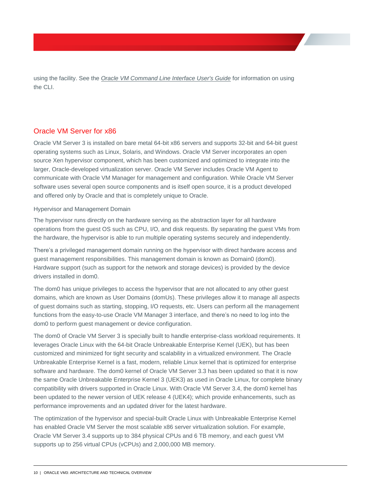using the facility. See the *[Oracle VM Command Line Interface User's Guide](http://docs.oracle.com/cd/E35328_01/E35336/html/index.html)* for information on using the CLI.

## <span id="page-10-0"></span>Oracle VM Server for x86

Oracle VM Server 3 is installed on bare metal 64-bit x86 servers and supports 32-bit and 64-bit guest operating systems such as Linux, Solaris, and Windows. Oracle VM Server incorporates an open source Xen hypervisor component, which has been customized and optimized to integrate into the larger, Oracle-developed virtualization server. Oracle VM Server includes Oracle VM Agent to communicate with Oracle VM Manager for management and configuration. While Oracle VM Server software uses several open source components and is itself open source, it is a product developed and offered only by Oracle and that is completely unique to Oracle.

#### <span id="page-10-1"></span>Hypervisor and Management Domain

The hypervisor runs directly on the hardware serving as the abstraction layer for all hardware operations from the guest OS such as CPU, I/O, and disk requests. By separating the guest VMs from the hardware, the hypervisor is able to run multiple operating systems securely and independently.

There's a privileged management domain running on the hypervisor with direct hardware access and guest management responsibilities. This management domain is known as Domain0 (dom0). Hardware support (such as support for the network and storage devices) is provided by the device drivers installed in dom0.

The dom0 has unique privileges to access the hypervisor that are not allocated to any other guest domains, which are known as User Domains (domUs). These privileges allow it to manage all aspects of guest domains such as starting, stopping, I/O requests, etc. Users can perform all the management functions from the easy-to-use Oracle VM Manager 3 interface, and there's no need to log into the dom0 to perform guest management or device configuration.

The dom0 of Oracle VM Server 3 is specially built to handle enterprise-class workload requirements. It leverages Oracle Linux with the 64-bit Oracle Unbreakable Enterprise Kernel (UEK), but has been customized and minimized for tight security and scalability in a virtualized environment. The Oracle Unbreakable Enterprise Kernel is a fast, modern, reliable Linux kernel that is optimized for enterprise software and hardware. The dom0 kernel of Oracle VM Server 3.3 has been updated so that it is now the same Oracle Unbreakable Enterprise Kernel 3 (UEK3) as used in Oracle Linux, for complete binary compatibility with drivers supported in Oracle Linux. With Oracle VM Server 3.4, the dom0 kernel has been updated to the newer version of UEK release 4 (UEK4); which provide enhancements, such as performance improvements and an updated driver for the latest hardware.

The optimization of the hypervisor and special-built Oracle Linux with Unbreakable Enterprise Kernel has enabled Oracle VM Server the most scalable x86 server virtualization solution. For example, Oracle VM Server 3.4 supports up to 384 physical CPUs and 6 TB memory, and each guest VM supports up to 256 virtual CPUs (vCPUs) and 2,000,000 MB memory.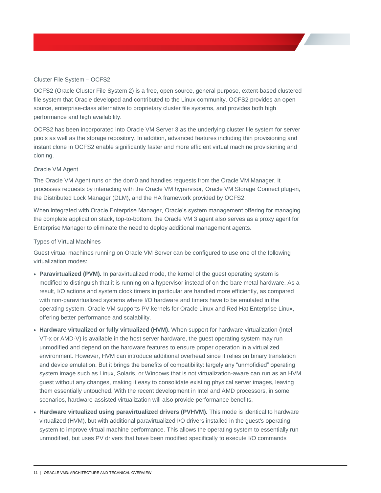### <span id="page-11-0"></span>Cluster File System – OCFS2

[OCFS2](http://www.oracle.com/us/technologies/linux/025995.htm) (Oracle Cluster File System 2) is a [free, open source,](http://oss.oracle.com/projects/ocfs2/) general purpose, extent-based clustered file system that Oracle developed and contributed to the Linux community. OCFS2 provides an open source, enterprise-class alternative to proprietary cluster file systems, and provides both high performance and high availability.

OCFS2 has been incorporated into Oracle VM Server 3 as the underlying cluster file system for server pools as well as the storage repository. In addition, advanced features including thin provisioning and instant clone in OCFS2 enable significantly faster and more efficient virtual machine provisioning and cloning.

#### <span id="page-11-1"></span>Oracle VM Agent

The Oracle VM Agent runs on the dom0 and handles requests from the Oracle VM Manager. It processes requests by interacting with the Oracle VM hypervisor, Oracle VM Storage Connect plug-in, the Distributed Lock Manager (DLM), and the HA framework provided by OCFS2.

When integrated with Oracle Enterprise Manager, Oracle's system management offering for managing the complete application stack, top-to-bottom, the Oracle VM 3 agent also serves as a proxy agent for Enterprise Manager to eliminate the need to deploy additional management agents.

#### <span id="page-11-2"></span>Types of Virtual Machines

Guest virtual machines running on Oracle VM Server can be configured to use one of the following virtualization modes:

- Paravirtualized (PVM). In paravirtualized mode, the kernel of the quest operating system is modified to distinguish that it is running on a hypervisor instead of on the bare metal hardware. As a result, I/O actions and system clock timers in particular are handled more efficiently, as compared with non-paravirtualized systems where I/O hardware and timers have to be emulated in the operating system. Oracle VM supports PV kernels for Oracle Linux and Red Hat Enterprise Linux, offering better performance and scalability.
- **Hardware virtualized or fully virtualized (HVM).** When support for hardware virtualization (Intel VT-x or AMD-V) is available in the host server hardware, the guest operating system may run unmodified and depend on the hardware features to ensure proper operation in a virtualized environment. However, HVM can introduce additional overhead since it relies on binary translation and device emulation. But it brings the benefits of compatibility: largely any "unmofidied" operating system image such as Linux, Solaris, or Windows that is not virtualization-aware can run as an HVM guest without any changes, making it easy to consolidate existing physical server images, leaving them essentially untouched. With the recent development in Intel and AMD processors, in some scenarios, hardware-assisted virtualization will also provide performance benefits.
- **Hardware virtualized using paravirtualized drivers (PVHVM).** This mode is identical to hardware virtualized (HVM), but with additional paravirtualized I/O drivers installed in the guest's operating system to improve virtual machine performance. This allows the operating system to essentially run unmodified, but uses PV drivers that have been modified specifically to execute I/O commands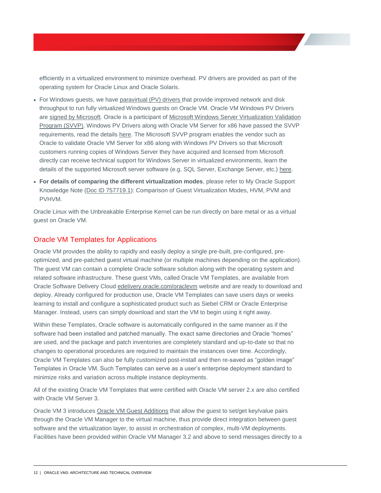efficiently in a virtualized environment to minimize overhead. PV drivers are provided as part of the operating system for Oracle Linux and Oracle Solaris.

- For Windows guests, we hav[e paravirtual \(PV\) drivers](http://www.oracle.com/us/technologies/virtualization/virtualilzation-066470.html) that provide improved network and disk throughput to run fully virtualized Windows guests on Oracle VM. Oracle VM Windows PV Drivers ar[e signed by Microsoft.](https://www.windowsservercatalog.com/item.aspx?idItem=089f6333-a2f3-a8ec-022e-8bc19b149e61&bCatID=1282) Oracle is a participant of [Microsoft Windows Server Virtualization Validation](https://www.windowsservercatalog.com/svvp.aspx)  [Program \(SVVP\).](https://www.windowsservercatalog.com/svvp.aspx) Windows PV Drivers along with Oracle VM Server for x86 have passed the SVVP requirements, read the detail[s here.](https://www.windowsservercatalog.com/results.aspx?text=Oracle+VM&bCatId=1282) The Microsoft SVVP program enables the vendor such as Oracle to validate Oracle VM Server for x86 along with Windows PV Drivers so that Microsoft customers running copies of Windows Server they have acquired and licensed from Microsoft directly can receive technical support for Windows Server in virtualized environments, learn the details of the supported Microsoft server software (e.g. SQL Server, Exchange Server, etc.) [here.](https://support.microsoft.com/en-us/kb/957006)
- **For details of comparing the different virtualization modes**, please refer to My Oracle Support Knowledge Note [\(Doc ID 757719.1\)](https://support.oracle.com/CSP/main/article?cmd=show&type=NOT&doctype=REFERENCE&id=757719.1): Comparison of Guest Virtualization Modes, HVM, PVM and PVHVM.

Oracle Linux with the Unbreakable Enterprise Kernel can be run directly on bare metal or as a virtual guest on Oracle VM.

## <span id="page-12-0"></span>Oracle VM Templates for Applications

Oracle VM provides the ability to rapidly and easily deploy a single pre-built, pre-configured, preoptimized, and pre-patched guest virtual machine (or multiple machines depending on the application). The guest VM can contain a complete Oracle software solution along with the operating system and related software infrastructure. These guest VMs, called Oracle VM Templates, are available from Oracle Software Delivery Cloud [edelivery.oracle.com/oraclevm](https://edelivery.oracle.com/oraclevm) website and are ready to download and deploy. Already configured for production use, Oracle VM Templates can save users days or weeks learning to install and configure a sophisticated product such as Siebel CRM or Oracle Enterprise Manager. Instead, users can simply download and start the VM to begin using it right away.

Within these Templates, Oracle software is automatically configured in the same manner as if the software had been installed and patched manually. The exact same directories and Oracle "homes" are used, and the package and patch inventories are completely standard and up-to-date so that no changes to operational procedures are required to maintain the instances over time. Accordingly, Oracle VM Templates can also be fully customized post-install and then re-saved as "golden image" Templates in Oracle VM. Such Templates can serve as a user's enterprise deployment standard to minimize risks and variation across multiple instance deployments.

All of the existing Oracle VM Templates that were certified with Oracle VM server 2.x are also certified with Oracle VM Server 3.

Oracle VM 3 introduces [Oracle VM Guest Additions](http://docs.oracle.com/cd/E35328_01/E35333/html/vmutl-guestadd.html) that allow the guest to set/get key/value pairs through the Oracle VM Manager to the virtual machine, thus provide direct integration between guest software and the virtualization layer, to assist in orchestration of complex, multi-VM deployments. Facilities have been provided within Oracle VM Manager 3.2 and above to send messages directly to a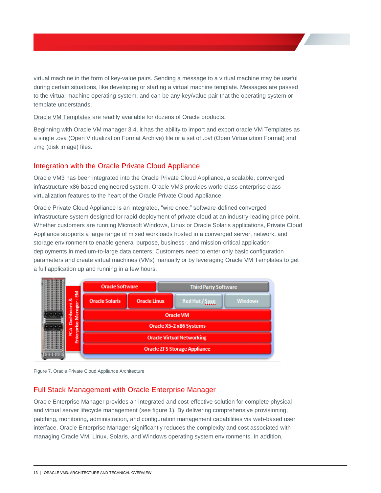virtual machine in the form of key-value pairs. Sending a message to a virtual machine may be useful during certain situations, like developing or starting a virtual machine template. Messages are passed to the virtual machine operating system, and can be any key/value pair that the operating system or template understands.

[Oracle VM Templates](http://www.oracle.com/technetwork/server-storage/vm/overview/templates-101937.html) are readily available for dozens of Oracle products.

Beginning with Oracle VM manager 3.4, it has the ability to import and export oracle VM Templates as a single .ova (Open Virtualization Format Archive) file or a set of .ovf (Open Virtualiztion Format) and .img (disk image) files.

## <span id="page-13-0"></span>Integration with the Oracle Private Cloud Appliance

Oracle VM3 has been integrated into the [Oracle Private Cloud Appliance,](http://www.oracle.com/technetwork/server-storage/private-cloud-appliance/overview/index.html) a scalable, converged infrastructure x86 based engineered system. Oracle VM3 provides world class enterprise class virtualization features to the heart of the Oracle Private Cloud Appliance.

Oracle Private Cloud Appliance is an integrated, "wire once," software-defined converged infrastructure system designed for rapid deployment of private cloud at an industry-leading price point. Whether customers are running Microsoft Windows, Linux or Oracle Solaris applications, Private Cloud Appliance supports a large range of mixed workloads hosted in a converged server, network, and storage environment to enable general purpose, business-, and mission-critical application deployments in medium-to-large data centers. Customers need to enter only basic configuration parameters and create virtual machines (VMs) manually or by leveraging Oracle VM Templates to get a full application up and running in a few hours.



Figure 7. Oracle Private Cloud Appliance Architecture

## <span id="page-13-1"></span>Full Stack Management with Oracle Enterprise Manager

Oracle Enterprise Manager provides an integrated and cost-effective solution for complete physical and virtual server lifecycle management (see figure 1). By delivering comprehensive provisioning, patching, monitoring, administration, and configuration management capabilities via web-based user interface, Oracle Enterprise Manager significantly reduces the complexity and cost associated with managing Oracle VM, Linux, Solaris, and Windows operating system environments. In addition,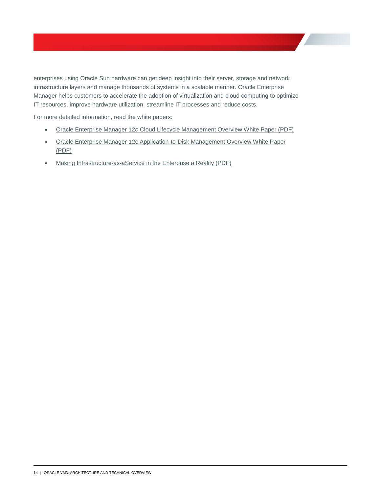enterprises using Oracle Sun hardware can get deep insight into their server, storage and network infrastructure layers and manage thousands of systems in a scalable manner. Oracle Enterprise Manager helps customers to accelerate the adoption of virtualization and cloud computing to optimize IT resources, improve hardware utilization, streamline IT processes and reduce costs.

For more detailed information, read the white papers:

- Oracle Enterprise Manager 12*c* [Cloud Lifecycle Management Overview White Paper \(PDF\)](http://www.oracle.com/technetwork/oem/cloud-mgmt/cloudmgmt12c-wp-516612.pdf)
- [Oracle Enterprise Manager 12c Application-to-Disk Management Overview White Paper](http://www.oracle.com/technetwork/oem/enterprise-manager/wp-em-a2d-mgmt-12-1-1585513.pdf)  [\(PDF\)](http://www.oracle.com/technetwork/oem/enterprise-manager/wp-em-a2d-mgmt-12-1-1585513.pdf)
- [Making Infrastructure-as-aService in the Enterprise a Reality \(PDF\)](http://www.oracle.com/technetwork/oem/host-server-mgmt/wp-oracle-ops-center-wp-cloud-iaas-1576080.pdf)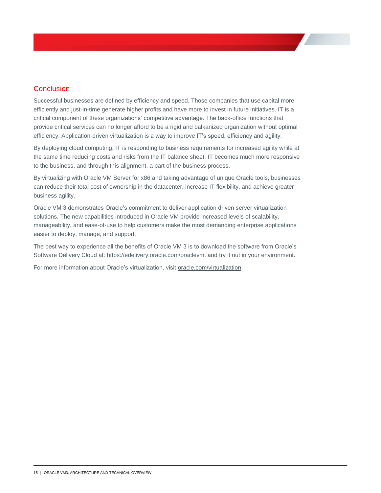# <span id="page-15-0"></span>**Conclusion**

Successful businesses are defined by efficiency and speed. Those companies that use capital more efficiently and just-in-time generate higher profits and have more to invest in future initiatives. IT is a critical component of these organizations' competitive advantage. The back-office functions that provide critical services can no longer afford to be a rigid and balkanized organization without optimal efficiency. Application-driven virtualization is a way to improve IT's speed, efficiency and agility.

By deploying cloud computing, IT is responding to business requirements for increased agility while at the same time reducing costs and risks from the IT balance sheet. IT becomes much more responsive to the business, and through this alignment, a part of the business process.

By virtualizing with Oracle VM Server for x86 and taking advantage of unique Oracle tools, businesses can reduce their total cost of ownership in the datacenter, increase IT flexibility, and achieve greater business agility.

Oracle VM 3 demonstrates Oracle's commitment to deliver application driven server virtualization solutions. The new capabilities introduced in Oracle VM provide increased levels of scalability, manageability, and ease-of-use to help customers make the most demanding enterprise applications easier to deploy, manage, and support.

The best way to experience all the benefits of Oracle VM 3 is to download the software from Oracle's Software Delivery Cloud at[: https://edelivery.oracle.com/oraclevm,](https://edelivery.oracle.com/oraclevm) and try it out in your environment.

For more information about Oracle's virtualization, visit [oracle.com/virtualization.](https://www.oracle.com/virtualization)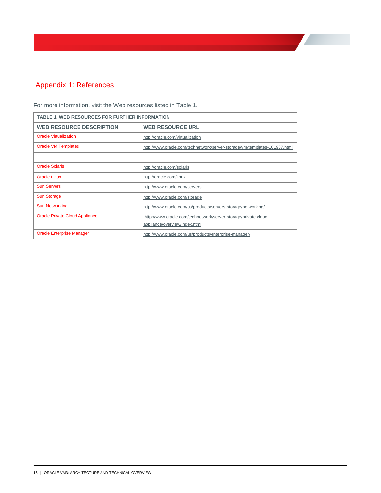# <span id="page-16-0"></span>Appendix 1: References

| <b>TABLE 1. WEB RESOURCES FOR FURTHER INFORMATION</b> |                                                                                                  |  |
|-------------------------------------------------------|--------------------------------------------------------------------------------------------------|--|
| <b>WEB RESOURCE DESCRIPTION</b>                       | <b>WEB RESOURCE URL</b>                                                                          |  |
| <b>Oracle Virtualization</b>                          | http://oracle.com/virtualization                                                                 |  |
| <b>Oracle VM Templates</b>                            | http://www.oracle.com/technetwork/server-storage/vm/templates-101937.html                        |  |
|                                                       |                                                                                                  |  |
| <b>Oracle Solaris</b>                                 | http://oracle.com/solaris                                                                        |  |
| <b>Oracle Linux</b>                                   | http://oracle.com/linux                                                                          |  |
| <b>Sun Servers</b>                                    | http://www.oracle.com/servers                                                                    |  |
| <b>Sun Storage</b>                                    | http://www.oracle.com/storage                                                                    |  |
| <b>Sun Networking</b>                                 | http://www.oracle.com/us/products/servers-storage/networking/                                    |  |
| <b>Oracle Private Cloud Appliance</b>                 | http://www.oracle.com/technetwork/server-storage/private-cloud-<br>appliance/overview/index.html |  |
| <b>Oracle Enterprise Manager</b>                      | http://www.oracle.com/us/products/enterprise-manager/                                            |  |

For more information, visit the Web resources listed in Table 1.